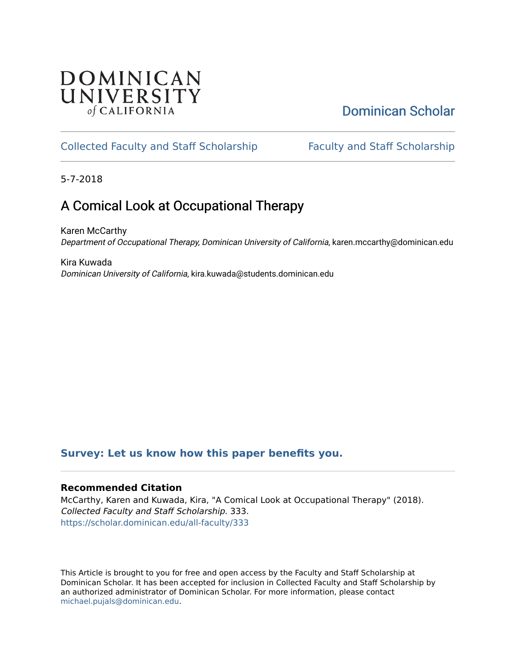### **DOMINICAN** UNIVERSITY of CALIFORNIA

### [Dominican Scholar](https://scholar.dominican.edu/)

### [Collected Faculty and Staff Scholarship](https://scholar.dominican.edu/all-faculty) [Faculty and Staff Scholarship](https://scholar.dominican.edu/faculty-scholarship)

5-7-2018

### A Comical Look at Occupational Therapy

Karen McCarthy Department of Occupational Therapy, Dominican University of California, karen.mccarthy@dominican.edu

Kira Kuwada Dominican University of California, kira.kuwada@students.dominican.edu

#### **[Survey: Let us know how this paper benefits you.](https://dominican.libwizard.com/dominican-scholar-feedback)**

#### **Recommended Citation**

McCarthy, Karen and Kuwada, Kira, "A Comical Look at Occupational Therapy" (2018). Collected Faculty and Staff Scholarship. 333. [https://scholar.dominican.edu/all-faculty/333](https://scholar.dominican.edu/all-faculty/333?utm_source=scholar.dominican.edu%2Fall-faculty%2F333&utm_medium=PDF&utm_campaign=PDFCoverPages) 

This Article is brought to you for free and open access by the Faculty and Staff Scholarship at Dominican Scholar. It has been accepted for inclusion in Collected Faculty and Staff Scholarship by an authorized administrator of Dominican Scholar. For more information, please contact [michael.pujals@dominican.edu.](mailto:michael.pujals@dominican.edu)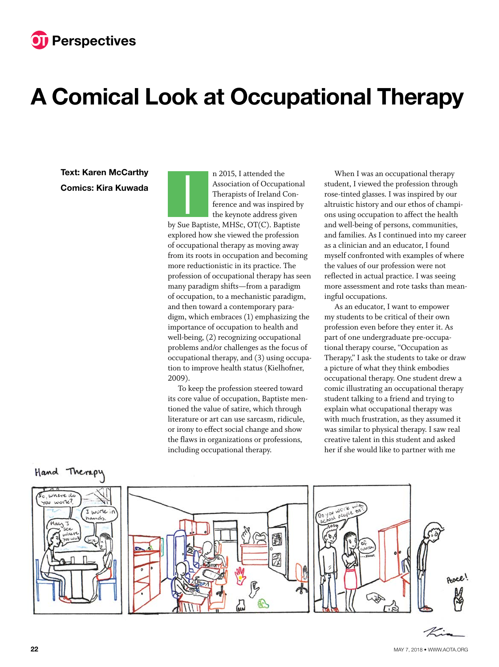## **OT** Perspectives

# **A Comical Look at Occupational Therapy**

**Text: Karen McCarthy<br>Comics: Kira Kuwada<br>Quad December 1986 Comics: Kira Kuwada**

n 2015, I attended the Association of Occupational Therapists of Ireland Conference and was inspired by the keynote address given by Sue Baptiste, MHSc, OT(C). Baptiste explored how she viewed the profession of occupational therapy as moving away from its roots in occupation and becoming more reductionistic in its practice. The profession of occupational therapy has seen many paradigm shifts—from a paradigm of occupation, to a mechanistic paradigm, and then toward a contemporary paradigm, which embraces (1) emphasizing the importance of occupation to health and well-being, (2) recognizing occupational problems and/or challenges as the focus of occupational therapy, and (3) using occupation to improve health status (Kielhofner, 2009).

To keep the profession steered toward its core value of occupation, Baptiste mentioned the value of satire, which through literature or art can use sarcasm, ridicule, or irony to effect social change and show the flaws in organizations or professions, including occupational therapy.

When I was an occupational therapy student, I viewed the profession through rose-tinted glasses. I was inspired by our altruistic history and our ethos of champions using occupation to affect the health and well-being of persons, communities, and families. As I continued into my career as a clinician and an educator, I found myself confronted with examples of where the values of our profession were not reflected in actual practice. I was seeing more assessment and rote tasks than meaningful occupations.

As an educator, I want to empower my students to be critical of their own profession even before they enter it. As part of one undergraduate pre-occupational therapy course, "Occupation as Therapy," I ask the students to take or draw a picture of what they think embodies occupational therapy. One student drew a comic illustrating an occupational therapy student talking to a friend and trying to explain what occupational therapy was with much frustration, as they assumed it was similar to physical therapy. I saw real creative talent in this student and asked her if she would like to partner with me



#### **22** MAY 7, 2018 • [WWW.AOTA.ORG](http://www.aota.org)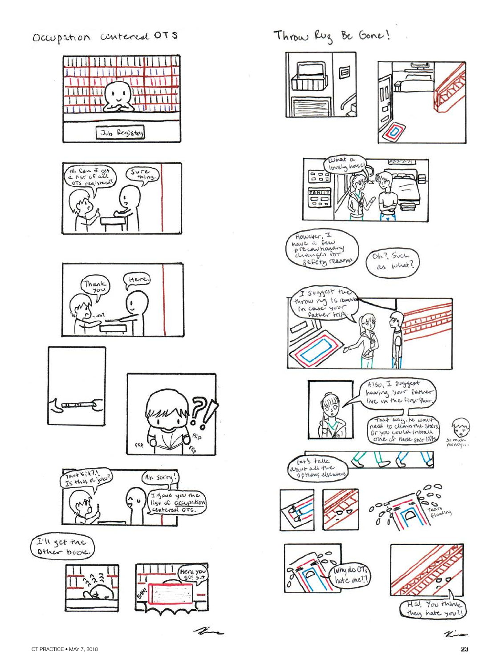

 $500$ 

 $\circ$  $\circ$ 

Ķ

D

ъ c

Hal You think

Japan